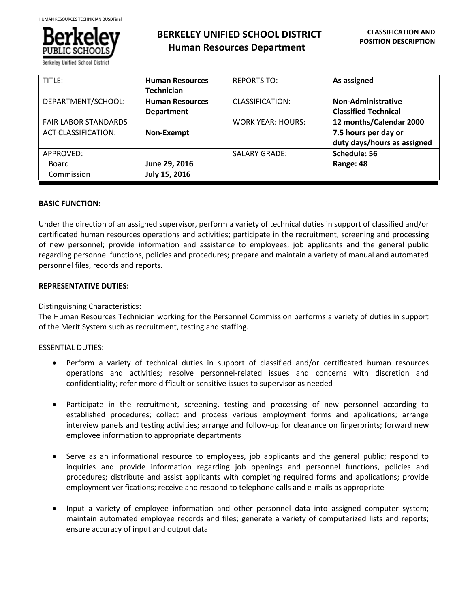

# **BERKELEY UNIFIED SCHOOL DISTRICT Human Resources Department**

| TITLE:                      | <b>Human Resources</b> | <b>REPORTS TO:</b>       | As assigned                 |
|-----------------------------|------------------------|--------------------------|-----------------------------|
|                             | <b>Technician</b>      |                          |                             |
| DEPARTMENT/SCHOOL:          | <b>Human Resources</b> | CLASSIFICATION:          | <b>Non-Administrative</b>   |
|                             | <b>Department</b>      |                          | <b>Classified Technical</b> |
| <b>FAIR LABOR STANDARDS</b> |                        | <b>WORK YEAR: HOURS:</b> | 12 months/Calendar 2000     |
| <b>ACT CLASSIFICATION:</b>  | Non-Exempt             |                          | 7.5 hours per day or        |
|                             |                        |                          | duty days/hours as assigned |
| APPROVED:                   |                        | <b>SALARY GRADE:</b>     | Schedule: 56                |
| Board                       | June 29, 2016          |                          | Range: 48                   |
| Commission                  | July 15, 2016          |                          |                             |

#### **BASIC FUNCTION:**

Under the direction of an assigned supervisor, perform a variety of technical duties in support of classified and/or certificated human resources operations and activities; participate in the recruitment, screening and processing of new personnel; provide information and assistance to employees, job applicants and the general public regarding personnel functions, policies and procedures; prepare and maintain a variety of manual and automated personnel files, records and reports.

#### **REPRESENTATIVE DUTIES:**

Distinguishing Characteristics:

The Human Resources Technician working for the Personnel Commission performs a variety of duties in support of the Merit System such as recruitment, testing and staffing.

### ESSENTIAL DUTIES:

- Perform a variety of technical duties in support of classified and/or certificated human resources operations and activities; resolve personnel-related issues and concerns with discretion and confidentiality; refer more difficult or sensitive issues to supervisor as needed
- Participate in the recruitment, screening, testing and processing of new personnel according to established procedures; collect and process various employment forms and applications; arrange interview panels and testing activities; arrange and follow-up for clearance on fingerprints; forward new employee information to appropriate departments
- Serve as an informational resource to employees, job applicants and the general public; respond to inquiries and provide information regarding job openings and personnel functions, policies and procedures; distribute and assist applicants with completing required forms and applications; provide employment verifications; receive and respond to telephone calls and e-mails as appropriate
- Input a variety of employee information and other personnel data into assigned computer system; maintain automated employee records and files; generate a variety of computerized lists and reports; ensure accuracy of input and output data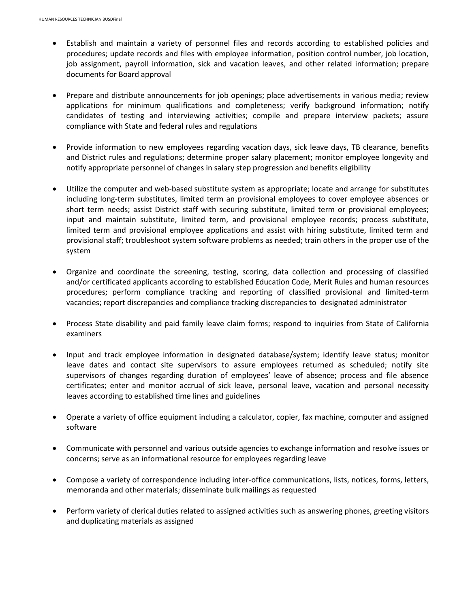- Establish and maintain a variety of personnel files and records according to established policies and procedures; update records and files with employee information, position control number, job location, job assignment, payroll information, sick and vacation leaves, and other related information; prepare documents for Board approval
- Prepare and distribute announcements for job openings; place advertisements in various media; review applications for minimum qualifications and completeness; verify background information; notify candidates of testing and interviewing activities; compile and prepare interview packets; assure compliance with State and federal rules and regulations
- Provide information to new employees regarding vacation days, sick leave days, TB clearance, benefits and District rules and regulations; determine proper salary placement; monitor employee longevity and notify appropriate personnel of changes in salary step progression and benefits eligibility
- Utilize the computer and web-based substitute system as appropriate; locate and arrange for substitutes including long-term substitutes, limited term an provisional employees to cover employee absences or short term needs; assist District staff with securing substitute, limited term or provisional employees; input and maintain substitute, limited term, and provisional employee records; process substitute, limited term and provisional employee applications and assist with hiring substitute, limited term and provisional staff; troubleshoot system software problems as needed; train others in the proper use of the system
- Organize and coordinate the screening, testing, scoring, data collection and processing of classified and/or certificated applicants according to established Education Code, Merit Rules and human resources procedures; perform compliance tracking and reporting of classified provisional and limited-term vacancies; report discrepancies and compliance tracking discrepancies to designated administrator
- Process State disability and paid family leave claim forms; respond to inquiries from State of California examiners
- Input and track employee information in designated database/system; identify leave status; monitor leave dates and contact site supervisors to assure employees returned as scheduled; notify site supervisors of changes regarding duration of employees' leave of absence; process and file absence certificates; enter and monitor accrual of sick leave, personal leave, vacation and personal necessity leaves according to established time lines and guidelines
- Operate a variety of office equipment including a calculator, copier, fax machine, computer and assigned software
- Communicate with personnel and various outside agencies to exchange information and resolve issues or concerns; serve as an informational resource for employees regarding leave
- Compose a variety of correspondence including inter-office communications, lists, notices, forms, letters, memoranda and other materials; disseminate bulk mailings as requested
- Perform variety of clerical duties related to assigned activities such as answering phones, greeting visitors and duplicating materials as assigned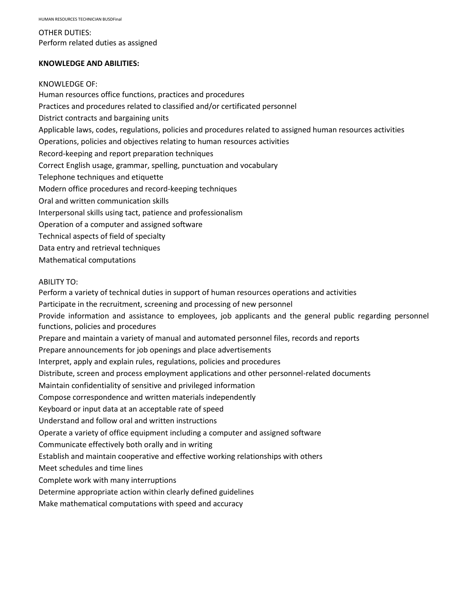OTHER DUTIES: Perform related duties as assigned

#### **KNOWLEDGE AND ABILITIES:**

#### KNOWLEDGE OF:

Human resources office functions, practices and procedures Practices and procedures related to classified and/or certificated personnel District contracts and bargaining units Applicable laws, codes, regulations, policies and procedures related to assigned human resources activities Operations, policies and objectives relating to human resources activities Record-keeping and report preparation techniques Correct English usage, grammar, spelling, punctuation and vocabulary Telephone techniques and etiquette Modern office procedures and record-keeping techniques Oral and written communication skills Interpersonal skills using tact, patience and professionalism Operation of a computer and assigned software Technical aspects of field of specialty Data entry and retrieval techniques

Mathematical computations

#### ABILITY TO:

Perform a variety of technical duties in support of human resources operations and activities Participate in the recruitment, screening and processing of new personnel Provide information and assistance to employees, job applicants and the general public regarding personnel functions, policies and procedures Prepare and maintain a variety of manual and automated personnel files, records and reports Prepare announcements for job openings and place advertisements Interpret, apply and explain rules, regulations, policies and procedures Distribute, screen and process employment applications and other personnel-related documents Maintain confidentiality of sensitive and privileged information Compose correspondence and written materials independently Keyboard or input data at an acceptable rate of speed Understand and follow oral and written instructions Operate a variety of office equipment including a computer and assigned software Communicate effectively both orally and in writing Establish and maintain cooperative and effective working relationships with others Meet schedules and time lines Complete work with many interruptions Determine appropriate action within clearly defined guidelines Make mathematical computations with speed and accuracy